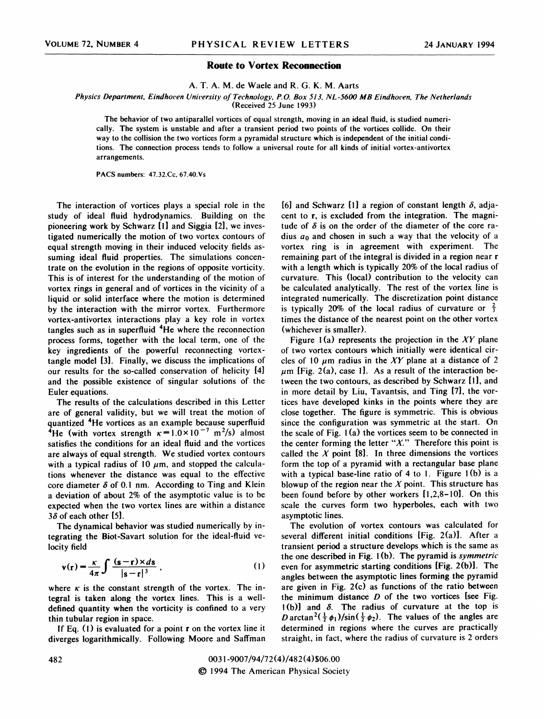## Route to Vortex Reconnection

A. T. A. M. de Macle and R. G. K. M. Aarts

Physics Department, Eindhoven University of Technology, P.O. Box 513, NL-5600 MB Eindhoven. The Netherlands

(Received 25 June l993)

The behavior of two antiparallel vortices of equal strength, moving in an ideal fluid, is studied numerically. The system is unstable and after a transient period two points of the vortices collide. On their way to the collision the two vortices form a pyramidal structure which is independent of the initial conditions. The connection process tends to follow a universal route for all kinds of initial vortex-antivortex arrangements.

PACS numbers: 47.32.Cc, 67.40.Vs

The interaction of vortices plays a special role in the study of ideal fluid hydrodynamics. Building on the pioneering work by Schwarz [1] and Siggia [2], we investigated numerically the motion of two vortex contours of equal strength moving in their induced velocity fields assuming ideal fluid properties. The simulations concentrate on the evolution in the regions of opposite vorticity. This is of interest for the understanding of the motion of vortex rings in general and of vortices in the vicinity of a liquid or solid interface where the motion is determined by the interaction with the mirror vortex. Furthermore vortex-antivortex interactions play a key role in vortex tangles such as in superfluid  $4$ He where the reconnection process forms, together with the local term, one of the key ingredients of the powerful reconnecting vortextangle model [3]. Finally, we discuss the implications of our results for the so-called conservation of helicity [4] and the possible existence of singular solutions of the Euler equations.

The results of the calculations described in this Letter are of general validity, but we will treat the motion of quantized <sup>4</sup>He vortices as an example because superfluid <sup>4</sup>He (with vortex strength  $\kappa = 1.0 \times 10^{-7}$  m<sup>2</sup>/s) almost satisfies the conditions for an ideal fluid and the vortices are always of equal strength. We studied vortex contours with a typical radius of 10  $\mu$ m, and stopped the calculations whenever the distance was equal to the effective core diameter  $\delta$  of 0.1 nm. According to Ting and Klein a deviation of about 2% of the asymptotic value is to be expected when the two vortex lines are within a distance  $3\delta$  of each other [5].

The dynamical behavior was studied numerically by integrating the Biot-Savart solution for the ideal-fiuid velocity field

$$
\mathbf{v}(\mathbf{r}) = \frac{\kappa}{4\pi} \int \frac{(\mathbf{s} - \mathbf{r}) \times d\mathbf{s}}{|\mathbf{s} - \mathbf{r}|^3},
$$
 (1)

where  $\kappa$  is the constant strength of the vortex. The integral is taken along the vortex lines. This is a welldefined quantity when the vorticity is confined to a very thin tubular region in space.

If Eq.  $(1)$  is evaluated for a point r on the vortex line it diverges logarithmically. Following Moore and Saffman [6] and Schwarz [1] a region of constant length  $\delta$ , adjacent to r, is excluded from the integration. The magnitude of  $\delta$  is on the order of the diameter of the core radius  $a_0$  and chosen in such a way that the velocity of a vortex ring is in agreement with experiment. The remaining part of the integral is divided in a region near r with a length which is typically 20% of the local radius of curvature. This (local) contribution to the velocity can be calculated analytically. The rest of the vortex line is integrated numerically. The discretization point distance is typically 20% of the local radius of curvature or  $\frac{2}{3}$ times the distance of the nearest point on the other vortex (whichever is smaller).

Figure 1(a) represents the projection in the XY plane of two vortex contours which initially were identical circles of 10  $\mu$ m radius in the XY plane at a distance of 2  $\mu$ m [Fig. 2(a), case 1]. As a result of the interaction between the two contours, as described by Schwarz fl], and in more detail by Liu, Tavantsis, and Ting [7], the vortices have developed kinks in the points where they are close together. The 6gure is symmetric. This is obvious since the configuration was symmetric at the start. On the scale of Fig. 1(a) the vortices seem to be connected in the center forming the letter " $X$ ." Therefore this point is called the  $X$  point [8]. In three dimensions the vortices form the top of a pyramid with a rectangular base plane with a typical base-line ratio of 4 to 1. Figure 1(b) is a blowup of the region near the  $X$  point. This structure has been found before by other workers [1,2,8-10]. On this scale the curves form two hyperboles, each with two asymptotic lines.

The evolution of vortex contours was calculated for several different initial conditions  $[Fig. 2(a)]$ . After a transient period a structure develops which is the same as the one described in Fig.  $1(b)$ . The pyramid is symmetric even for asymmetric starting conditions [Fig. 2(b)l. The angles between the asymptotic lines forming the pyramid are given in Fig. 2(c) as functions of the ratio between the minimum distance  $D$  of the two vortices [see Fig.  $1(b)$  and  $\delta$ . The radius of curvature at the top is D arctan<sup>2</sup>( $\frac{1}{2}$   $\phi_1$ )/sin( $\frac{1}{2}$   $\phi_2$ ). The values of the angles are determined in regions where the curves are practically straight, in fact, where the radius of curvature is 2 orders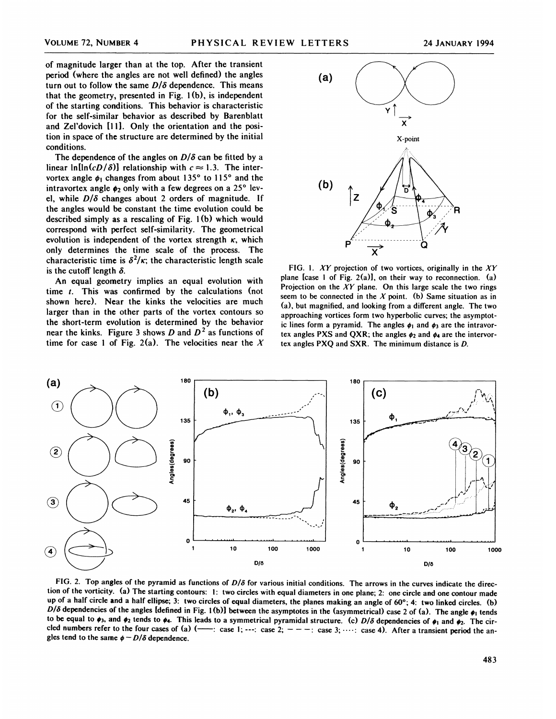of magnitude larger than at the top. After the transient period (where the angles are not well defined) the angles turn out to follow the same  $D/\delta$  dependence. This means that the geometry, presented in Fig. 1(b), is independent of the starting conditions. This behavior is characteristic for the self-similar behavior as described by Barenblatt and Zel'dovich [111. Only the orientation and the position in space of the structure are determined by the initial conditions.

I ne dependence of the angles on  $D/\sigma$  can be fitted by a<br>linear ln[ln(cD/ $\delta$ )] relationship with  $c \approx 1.3$ . The inter-The dependence of the angles on  $D/\delta$  can be fitted by a vortex angle  $\phi_1$  changes from about 135° to 115° and the intravortex angle  $\phi_2$  only with a few degrees on a 25° level, while  $D/\delta$  changes about 2 orders of magnitude. If the angles would be constant the time evolution could be described simply as a rescaling of Fig. 1(b) which would correspond with perfect self-similarity. The geometrical evolution is independent of the vortex strength  $\kappa$ , which only determines the time scale of the process. The characteristic time is  $\delta^2 / \kappa$ ; the characteristic length scale is the cutoff length  $\delta$ .

An equal geometry implies an equal evolution with time t. This was confirmed by the calculations (not shown here). Near the kinks the velocities are much larger than in the other parts of the vortex contours so the short-term evolution is determined by the behavior near the kinks. Figure 3 shows D and  $D<sup>2</sup>$  as functions of time for case 1 of Fig. 2(a). The velocities near the X



FIG. 1. XY projection of two vortices, originally in the  $XY$ plane [case 1 of Fig. 2(a)], on their way to reconnection. (a) Projection on the  $XY$  plane. On this large scale the two rings seem to be connected in the  $X$  point. (b) Same situation as in a), but magnified, and looking from a different angle. The two approaching vortices form two hyperbolic curves; the asymptotic lines form a pyramid. The angles  $\phi_1$  and  $\phi_3$  are the intravortex angles PXS and QXR; the angles  $\phi_2$  and  $\phi_4$  are the intervortex angles PXQ and SXR. The minimum distance is D.



FIG. 2. Top angles of the pyramid as functions of  $D/\delta$  for various initial conditions. The arrows in the curves indicate the direction of the vorticity. (a) The starting contours: 1: two circles with equal diameters in one plane; 2: one circle and one contour made up of a half circle and a half ellipse; 3: two circles of equal diameters, the planes making an angle of  $60^\circ$ ; 4: two linked circles. (b)  $D/\delta$  dependencies of the angles [defined in Fig. 1(b)] between the asymptotes in the (asymmetrical) case 2 of (a). The angle  $\phi_1$  tend to be equal to  $\phi_3$ , and  $\phi_2$  tends to  $\phi_4$ . This leads to a symmetrical pyramidal structure. (c)  $D/\delta$  dep cled numbers refer to the four cases of (a)  $(\frac{1}{1}, \cdots, \frac{1}{n})$  case 1;  $\cdots$ : case 2;  $-\cdots$  case 3;  $\cdots$ : case 4). After a transient period the angles tend to the same  $\phi - D/\delta$  dependence.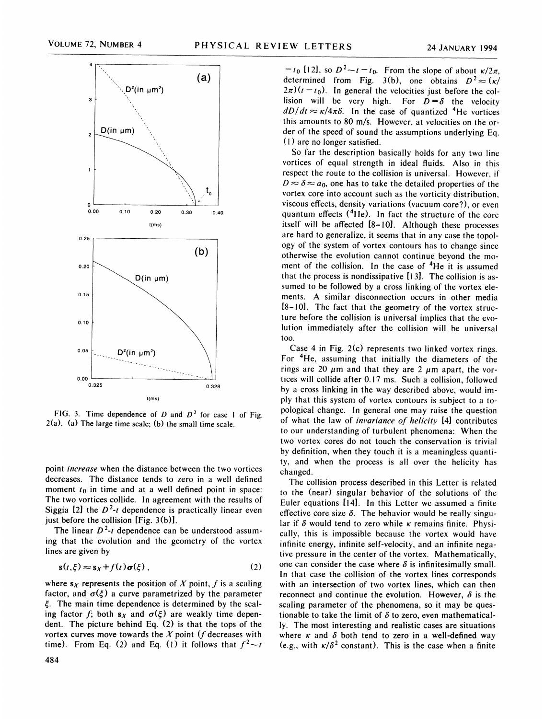

FIG. 3. Time dependence of D and  $D<sup>2</sup>$  for case 1 of Fig.  $2(a)$ . (a) The large time scale; (b) the small time scale.

point increase when the distance between the two vortices decreases. The distance tends to zero in a well defined moment  $t_0$  in time and at a well defined point in space: The two vortices collide. In agreement with the results of Siggia [2] the  $D^2$ -t dependence is practically linear even just before the collision [Fig. 3(b)].

The linear  $D^2$ -t dependence can be understood assuming that the evolution and the geometry of the vortex lines are given by

$$
\mathbf{s}(t,\xi) \approx \mathbf{s}_X + f(t)\boldsymbol{\sigma}(\xi) \,,\tag{2}
$$

where  $s_X$  represents the position of X point, f is a scaling factor, and  $\sigma(\xi)$  a curve parametrized by the parameter  $\xi$ . The main time dependence is determined by the scaling factor f; both  $s_X$  and  $\sigma(\xi)$  are weakly time dependent. The picture behind Eq. (2) is that the tops of the vortex curves move towards the  $X$  point ( $f$  decreases with time). From Eq. (2) and Eq. (1) it follows that  $f^2 \sim t$ 

 $-t_0$  [12], so  $D^2-t-t_0$ . From the slope of about  $\kappa/2\pi$ , determined from Fig. 3(b), one obtains  $D^2 \approx (\kappa)$  $2\pi$ )( $t - t_0$ ). In general the velocities just before the collision will be very high. For  $D = \delta$  the velocity  $dD/dt \approx \kappa/4\pi\delta$ . In the case of quantized <sup>4</sup>He vortices this amounts to 80 m/s. However, at velocities on the order of the speed of sound the assumptions underlying Eq.  $(1)$  are no longer satisfied.

So far the description basically holds for any two line vortices of equal strength in ideal fluids. Also in this respect the route to the collision is universal. However, if  $D \approx \delta \approx a_0$ , one has to take the detailed properties of the vortex core into account such as the vorticity distribution, viscous effects, density variations (vacuum core'?), or even quantum effects  $(4He)$ . In fact the structure of the core itself will be affected [8-IO]. Although these processes are hard to generalize, it seems that in any case the topology of the system of vortex contours has to change since otherwise the evolution cannot continue beyond the moment of the collision. In the case of  $4He$  it is assumed that the process is nondissipative [I3]. The collision is assumed to be followed by a cross linking of the vortex elements. A similar disconnection occurs in other media [8-<sup>l</sup> 0]. The fact that the geometry of the vortex structure before the collision is universal implies that the evolution immediately after the collision will be universal too.

Case 4 in Fig. 2(c) represents two linked vortex rings. For <sup>4</sup>He, assuming that initially the diameters of the rings are 20  $\mu$ m and that they are 2  $\mu$ m apart, the vortices will collide after 0.17 ms. Such a collision, followed by a cross linking in the way described above, would imply that this system of vortex contours is subject to a topological change. In general one may raise the question of what the law of invariance of helicity [4] contributes to our understanding of turbulent phenomena: When the two vortex cores do not touch the conservation is trivial by definition, when they touch it is a meaningless quantity, and when the process is all over the helicity has changed.

The collision process described in this Letter is related to the (near) singular behavior of the solutions of the Euler equations [l4]. In this Letter we assumed a finite effective core size  $\delta$ . The behavior would be really singular if  $\delta$  would tend to zero while  $\kappa$  remains finite. Physically, this is impossible because the vortex would have infinite energy, infinite self-velocity, and an infinite negative pressure in the center of the vortex. Mathematically, one can consider the case where  $\delta$  is infinitesimally small. In that case the collision of the vortex lines corresponds with an intersection of two vortex lines, which can then reconnect and continue the evolution. However,  $\delta$  is the scaling parameter of the phenomena, so it may be questionable to take the limit of  $\delta$  to zero, even mathematically. The most interesting and realistic cases are situations where  $\kappa$  and  $\delta$  both tend to zero in a well-defined way (e.g., with  $\kappa/\delta^2$  constant). This is the case when a finite